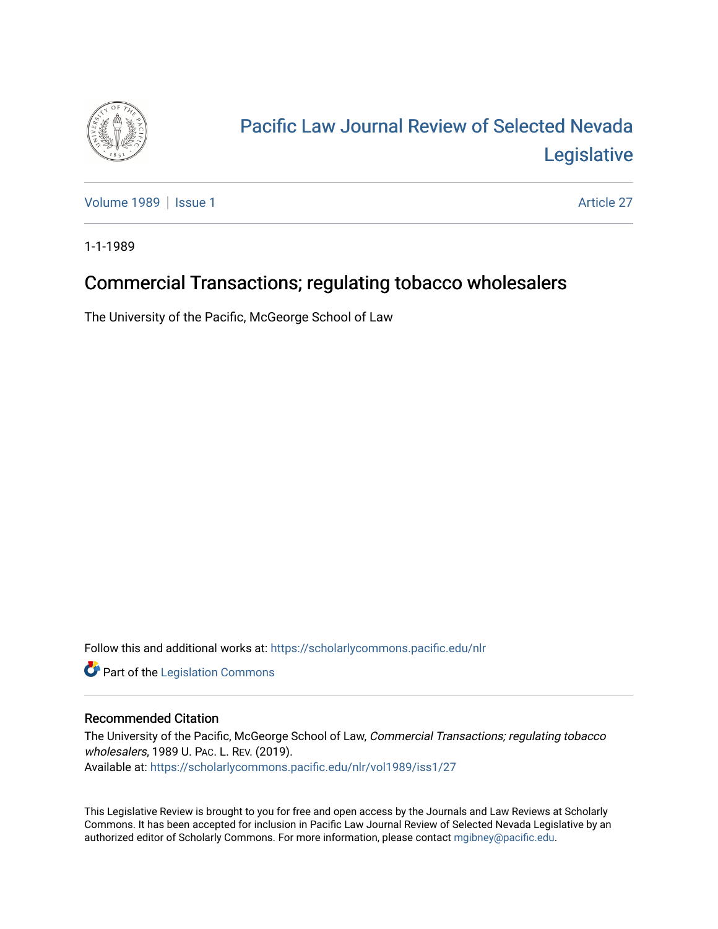

## [Pacific Law Journal Review of Selected Nevada](https://scholarlycommons.pacific.edu/nlr)  [Legislative](https://scholarlycommons.pacific.edu/nlr)

[Volume 1989](https://scholarlycommons.pacific.edu/nlr/vol1989) | [Issue 1](https://scholarlycommons.pacific.edu/nlr/vol1989/iss1) Article 27

1-1-1989

## Commercial Transactions; regulating tobacco wholesalers

The University of the Pacific, McGeorge School of Law

Follow this and additional works at: [https://scholarlycommons.pacific.edu/nlr](https://scholarlycommons.pacific.edu/nlr?utm_source=scholarlycommons.pacific.edu%2Fnlr%2Fvol1989%2Fiss1%2F27&utm_medium=PDF&utm_campaign=PDFCoverPages) 

**Part of the [Legislation Commons](http://network.bepress.com/hgg/discipline/859?utm_source=scholarlycommons.pacific.edu%2Fnlr%2Fvol1989%2Fiss1%2F27&utm_medium=PDF&utm_campaign=PDFCoverPages)** 

## Recommended Citation

The University of the Pacific, McGeorge School of Law, Commercial Transactions; regulating tobacco wholesalers, 1989 U. PAC. L. REV. (2019). Available at: [https://scholarlycommons.pacific.edu/nlr/vol1989/iss1/27](https://scholarlycommons.pacific.edu/nlr/vol1989/iss1/27?utm_source=scholarlycommons.pacific.edu%2Fnlr%2Fvol1989%2Fiss1%2F27&utm_medium=PDF&utm_campaign=PDFCoverPages)

This Legislative Review is brought to you for free and open access by the Journals and Law Reviews at Scholarly Commons. It has been accepted for inclusion in Pacific Law Journal Review of Selected Nevada Legislative by an authorized editor of Scholarly Commons. For more information, please contact [mgibney@pacific.edu](mailto:mgibney@pacific.edu).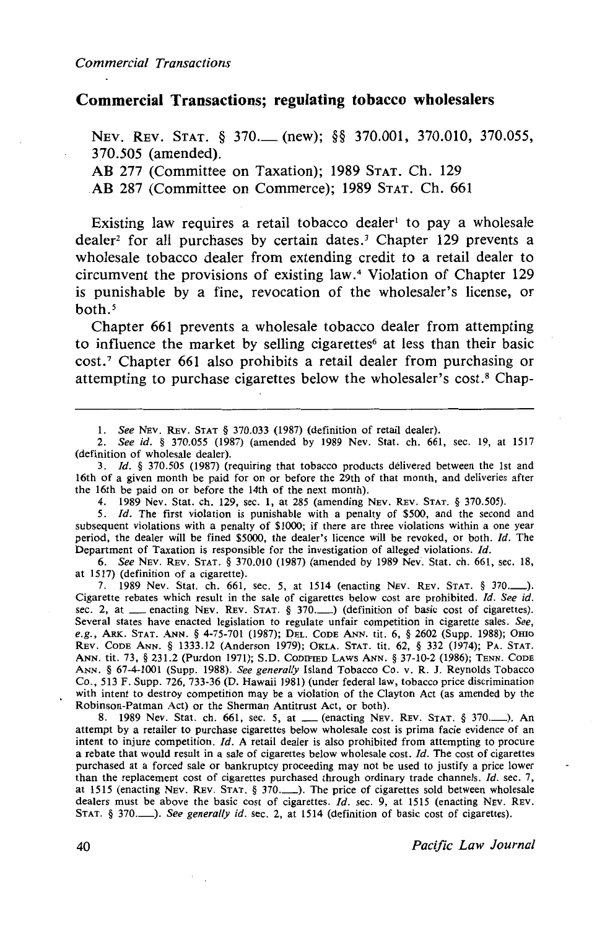## **Commercial Transactions; regulating tobacco wholesalers**

NEV. REV. STAT. § 370. (new); §§ 370.001, 370.010, 370.055, 370.505 (amended).

AB 277 (Committee on Taxation); 1989 STAT. Ch. 129

AB 287 (Committee on Commerce); 1989 STAT. Ch. 661

Existing law requires a retail tobacco dealer to pay a wholesale dealer<sup>2</sup> for all purchases by certain dates.<sup>3</sup> Chapter 129 prevents a wholesale tobacco dealer from extending credit to a retail dealer to circumvent the provisions of existing law.<sup>4</sup> Violation of Chapter 129 is punishable by a fine, revocation of the wholesaler's license, or  $both.<sup>5</sup>$ 

Chapter 661 prevents a wholesale tobacco dealer from attempting to influence the market by selling cigarettes<sup>6</sup> at less than their basic cost. <sup>7</sup>Chapter 661 also prohibits a retail dealer from purchasing or attempting to purchase cigarettes below the wholesaler's cost.<sup>8</sup> Chap-

5. *!d.* The first violation is punishable with a penalty of \$500, and the second and subsequent violations with a penalty of \$1000; if there are three violations within a one year period, the dealer will be fined \$5000, the dealer's licence will be revoked, or both. *!d.* The Department of Taxation is responsible for the investigation of alleged violations. *!d.* 

6. *See* NEv. REv. STAT. § 370.010 (1987) (amended by 1989 Nev. Stat. ch. 661, sec. 18, at 1517) (definition of a cigarette).

7. 1989 Nev. Stat. ch. 661, sec. 5, at 1514 (enacting NEV. REv. STAT. § 370.\_). Cigarette rebates which result in the sale of cigarettes below cost are prohibited. *!d. See id.*  sec. 2, at  $\equiv$  enacting NEV. REV. STAT. § 370. (definition of basic cost of cigarettes). Several states have enacted legislation to regulate unfair competition in cigarette sales. *See, e.g.,* ARK. STAT. ANN. § 4-75-701 (1987); DEL. CODE ANN. tit. 6, § 2602 (Supp. 1988); Omo REv. CoDE ANN. § 1333.12 (Anderson 1979); OKLA. STAT. tit. 62, § 332 (1974); PA. STAT. ANN. tit. 73, § 231.2 (Purdon 1971); S.D. CoDIFIED LAws ANN. § 37-10-2 (1986); TENN. CoDE ANN. § 67-4-1001 (Supp. 1988). *See generally* Island Tobacco Co. v. R. J. Reynolds Tobacco Co., 513 F. Supp. 726, 733-36 (D. Hawaii 1981) (under federal law, tobacco price discrimination with intent to destroy competition may be a violation of the Clayton Act (as amended by the Robinson-Patman Act) or the Sherman Antitrust Act, or both).

8. 1989 Nev. Stat. ch. 661, sec. 5, at \_\_ (enacting NEV. REV. STAT. § 370.........). An attempt by a retailer to purchase cigarettes below wholesale cost is prima facie evidence of an intent to injure competition. *!d.* A retail dealer is also prohibited from attempting to procure a rebate that would result in a sale of cigarettes below wholesale cost. *!d.* The cost of cigarettes purchased at a forced sale or bankruptcy proceeding may not be used to justify a price lower than the replacement cost of cigarettes purchased through ordinary trade channels. *!d.* sec. 7, at 1515 (enacting NEv. REv. STAT. § 370.\_). The price of cigarettes sold between wholesale dealers must be above the basic cost of cigarettes. *!d.* sec. 9, at 1515 (enacting NEv. REv. STAT. § 370.\_). *See generally id.* sec. 2, at 1514 (definition of basic cost of cigarettes).

<sup>1.</sup> *See* NEv. REv. STAT § 370.033 (1987) (definition of retail dealer).

<sup>2.</sup> *See id.* § 370.055 (1987) (amended by 1989 Nev. Stat. ch. 661, sec. 19, at 1517 (definition of wholesale dealer).

<sup>3.</sup> *!d.* § 370.505 (1987) (requiring that tobacco products delivered between the 1st and 16th of a given month be paid for on or before the 29th of that month, and deliveries after the 16th be paid on or before the 14th of the next month).

<sup>4. 1989</sup> Nev. Stat. ch. 129, sec. 1, at 285 (amending NEv. REv. STAT. § 370.505).